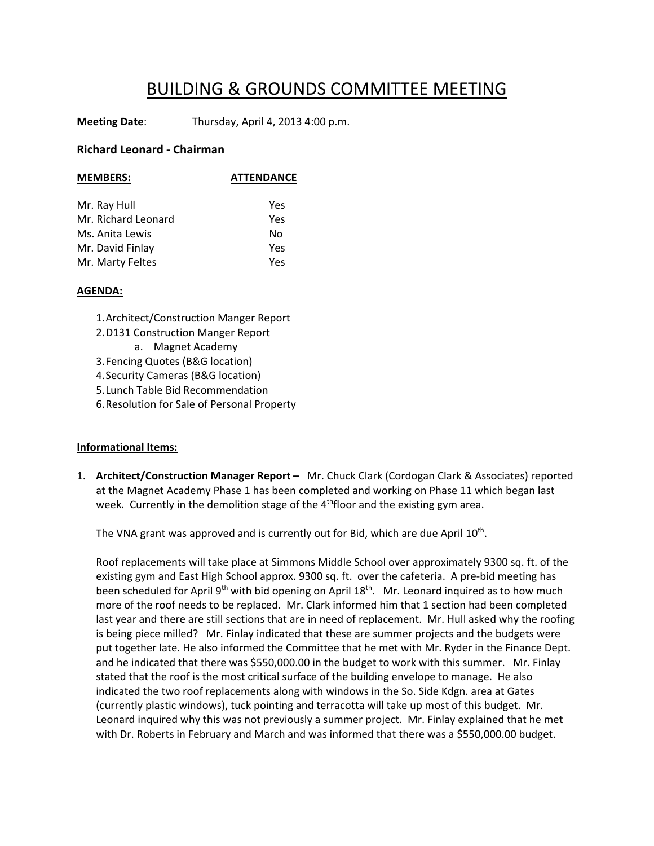## BUILDING & GROUNDS COMMITTEE MEETING

**Meeting Date**: Thursday, April 4, 2013 4:00 p.m.

## **Richard Leonard ‐ Chairman**

| <b>MEMBERS:</b>     | <b>ATTENDANCE</b> |
|---------------------|-------------------|
| Mr. Ray Hull        | Yes               |
| Mr. Richard Leonard | Yes               |
| Ms. Anita Lewis     | No                |
| Mr. David Finlay    | Yes               |
| Mr. Marty Feltes    | Yes               |

## **AGENDA:**

1.Architect/Construction Manger Report

- 2.D131 Construction Manger Report
	- a. Magnet Academy

3.Fencing Quotes (B&G location)

4.Security Cameras (B&G location)

5.Lunch Table Bid Recommendation

6.Resolution for Sale of Personal Property

## **Informational Items:**

1. **Architect/Construction Manager Report –** Mr. Chuck Clark (Cordogan Clark & Associates) reported at the Magnet Academy Phase 1 has been completed and working on Phase 11 which began last week. Currently in the demolition stage of the  $4<sup>th</sup>$ floor and the existing gym area.

The VNA grant was approved and is currently out for Bid, which are due April  $10<sup>th</sup>$ .

Roof replacements will take place at Simmons Middle School over approximately 9300 sq. ft. of the existing gym and East High School approx. 9300 sq. ft. over the cafeteria. A pre-bid meeting has been scheduled for April 9<sup>th</sup> with bid opening on April 18<sup>th</sup>. Mr. Leonard inquired as to how much more of the roof needs to be replaced. Mr. Clark informed him that 1 section had been completed last year and there are still sections that are in need of replacement. Mr. Hull asked why the roofing is being piece milled? Mr. Finlay indicated that these are summer projects and the budgets were put together late. He also informed the Committee that he met with Mr. Ryder in the Finance Dept. and he indicated that there was \$550,000.00 in the budget to work with this summer. Mr. Finlay stated that the roof is the most critical surface of the building envelope to manage. He also indicated the two roof replacements along with windows in the So. Side Kdgn. area at Gates (currently plastic windows), tuck pointing and terracotta will take up most of this budget. Mr. Leonard inquired why this was not previously a summer project. Mr. Finlay explained that he met with Dr. Roberts in February and March and was informed that there was a \$550,000.00 budget.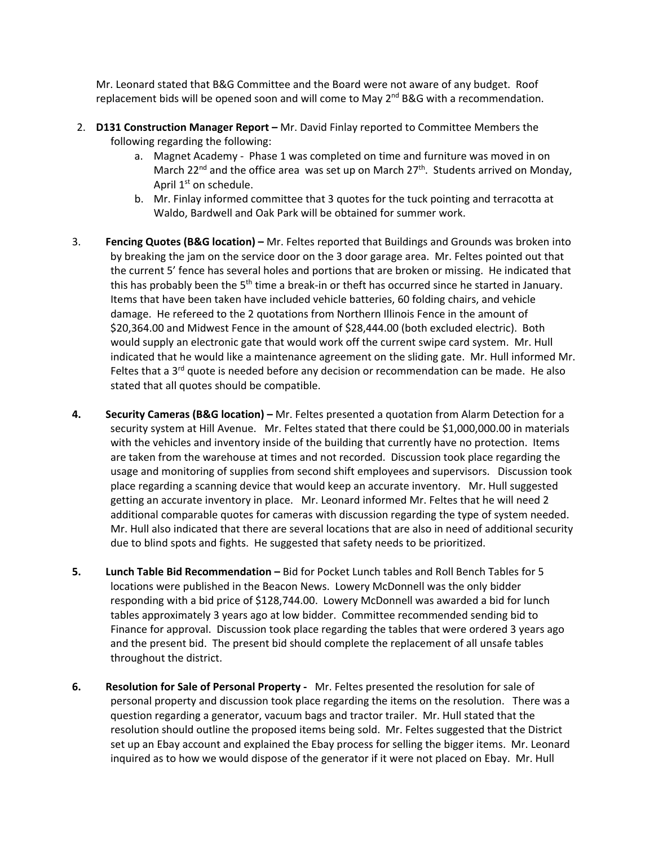Mr. Leonard stated that B&G Committee and the Board were not aware of any budget. Roof replacement bids will be opened soon and will come to May  $2^{nd}$  B&G with a recommendation.

- 2. **D131 Construction Manager Report –** Mr. David Finlay reported to Committee Members the following regarding the following:
	- a. Magnet Academy ‐ Phase 1 was completed on time and furniture was moved in on March 22<sup>nd</sup> and the office area was set up on March 27<sup>th</sup>. Students arrived on Monday, April 1<sup>st</sup> on schedule.
	- b. Mr. Finlay informed committee that 3 quotes for the tuck pointing and terracotta at Waldo, Bardwell and Oak Park will be obtained for summer work.
- 3. **Fencing Quotes (B&G location) –** Mr. Feltes reported that Buildings and Grounds was broken into by breaking the jam on the service door on the 3 door garage area. Mr. Feltes pointed out that the current 5' fence has several holes and portions that are broken or missing. He indicated that this has probably been the  $5<sup>th</sup>$  time a break-in or theft has occurred since he started in January. Items that have been taken have included vehicle batteries, 60 folding chairs, and vehicle damage. He refereed to the 2 quotations from Northern Illinois Fence in the amount of \$20,364.00 and Midwest Fence in the amount of \$28,444.00 (both excluded electric). Both would supply an electronic gate that would work off the current swipe card system. Mr. Hull indicated that he would like a maintenance agreement on the sliding gate. Mr. Hull informed Mr. Feltes that a  $3<sup>rd</sup>$  quote is needed before any decision or recommendation can be made. He also stated that all quotes should be compatible.
- **4. Security Cameras (B&G location) –** Mr. Feltes presented a quotation from Alarm Detection for a security system at Hill Avenue. Mr. Feltes stated that there could be \$1,000,000.00 in materials with the vehicles and inventory inside of the building that currently have no protection. Items are taken from the warehouse at times and not recorded. Discussion took place regarding the usage and monitoring of supplies from second shift employees and supervisors. Discussion took place regarding a scanning device that would keep an accurate inventory. Mr. Hull suggested getting an accurate inventory in place. Mr. Leonard informed Mr. Feltes that he will need 2 additional comparable quotes for cameras with discussion regarding the type of system needed. Mr. Hull also indicated that there are several locations that are also in need of additional security due to blind spots and fights. He suggested that safety needs to be prioritized.
- **5. Lunch Table Bid Recommendation –** Bid for Pocket Lunch tables and Roll Bench Tables for 5 locations were published in the Beacon News. Lowery McDonnell was the only bidder responding with a bid price of \$128,744.00. Lowery McDonnell was awarded a bid for lunch tables approximately 3 years ago at low bidder. Committee recommended sending bid to Finance for approval. Discussion took place regarding the tables that were ordered 3 years ago and the present bid. The present bid should complete the replacement of all unsafe tables throughout the district.
- **6. Resolution for Sale of Personal Property ‐** Mr. Feltes presented the resolution for sale of personal property and discussion took place regarding the items on the resolution. There was a question regarding a generator, vacuum bags and tractor trailer. Mr. Hull stated that the resolution should outline the proposed items being sold. Mr. Feltes suggested that the District set up an Ebay account and explained the Ebay process for selling the bigger items. Mr. Leonard inquired as to how we would dispose of the generator if it were not placed on Ebay. Mr. Hull